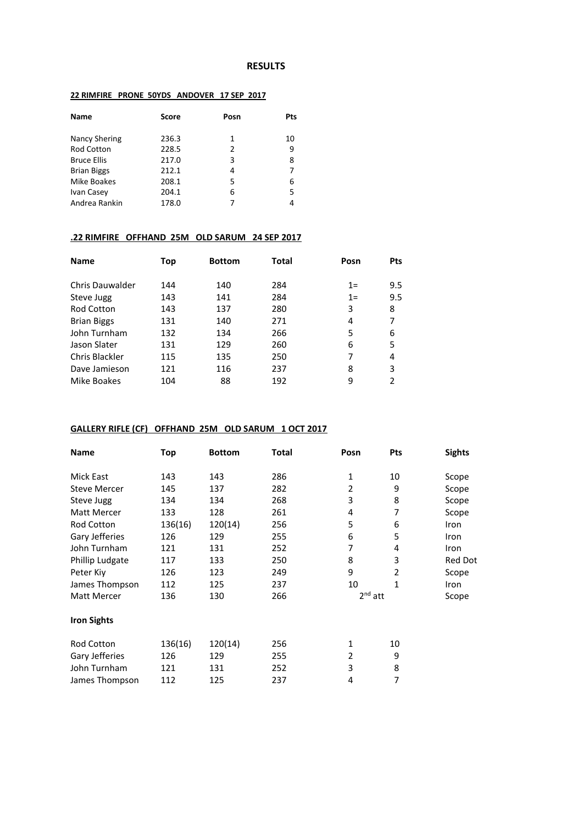#### **RESULTS**

### **22 RIMFIRE PRONE 50YDS ANDOVER 17 SEP 2017**

| <b>Name</b>        | Score | Posn | Pts |
|--------------------|-------|------|-----|
| Nancy Shering      | 236.3 | 1    | 10  |
| <b>Rod Cotton</b>  | 228.5 | 2    | 9   |
| <b>Bruce Ellis</b> | 217.0 | 3    | 8   |
| <b>Brian Biggs</b> | 212.1 | 4    |     |
| Mike Boakes        | 208.1 | 5    | 6   |
| Ivan Casey         | 204.1 | 6    | 5.  |
| Andrea Rankin      | 178.0 | 7    | 4   |

# **.22 RIMFIRE OFFHAND 25M OLD SARUM 24 SEP 2017**

| <b>Name</b>        | Top | <b>Bottom</b> | Total | Posn  | <b>Pts</b> |
|--------------------|-----|---------------|-------|-------|------------|
| Chris Dauwalder    | 144 | 140           | 284   | $1=$  | 9.5        |
| Steve Jugg         | 143 | 141           | 284   | $1 =$ | 9.5        |
| <b>Rod Cotton</b>  | 143 | 137           | 280   | 3     | 8          |
| <b>Brian Biggs</b> | 131 | 140           | 271   | 4     |            |
| John Turnham       | 132 | 134           | 266   | 5     | 6          |
| Jason Slater       | 131 | 129           | 260   | 6     | 5          |
| Chris Blackler     | 115 | 135           | 250   | 7     | 4          |
| Dave Jamieson      | 121 | 116           | 237   | 8     | 3          |
| Mike Boakes        | 104 | 88            | 192   | 9     | 2          |

# **GALLERY RIFLE (CF) OFFHAND 25M OLD SARUM 1 OCT 2017**

| <b>Name</b>         | Top     | <b>Bottom</b> | Total | Posn      | Pts            | <b>Sights</b> |
|---------------------|---------|---------------|-------|-----------|----------------|---------------|
| Mick East           | 143     | 143           | 286   | 1         | 10             | Scope         |
| <b>Steve Mercer</b> | 145     | 137           | 282   | 2         | 9              | Scope         |
| Steve Jugg          | 134     | 134           | 268   | 3         | 8              | Scope         |
| Matt Mercer         | 133     | 128           | 261   | 4         | 7              | Scope         |
| <b>Rod Cotton</b>   | 136(16) | 120(14)       | 256   | 5         | 6              | Iron          |
| Gary Jefferies      | 126     | 129           | 255   | 6         | 5              | Iron          |
| John Turnham        | 121     | 131           | 252   | 7         | 4              | Iron          |
| Phillip Ludgate     | 117     | 133           | 250   | 8         | 3              | Red Dot       |
| Peter Kiy           | 126     | 123           | 249   | 9         | $\overline{2}$ | Scope         |
| James Thompson      | 112     | 125           | 237   | 10        | 1              | Iron          |
| <b>Matt Mercer</b>  | 136     | 130           | 266   | $2nd$ att |                | Scope         |
| <b>Iron Sights</b>  |         |               |       |           |                |               |
| <b>Rod Cotton</b>   | 136(16) | 120(14)       | 256   | 1         | 10             |               |
| Gary Jefferies      | 126     | 129           | 255   | 2         | 9              |               |
| John Turnham        | 121     | 131           | 252   | 3         | 8              |               |
| James Thompson      | 112     | 125           | 237   | 4         | 7              |               |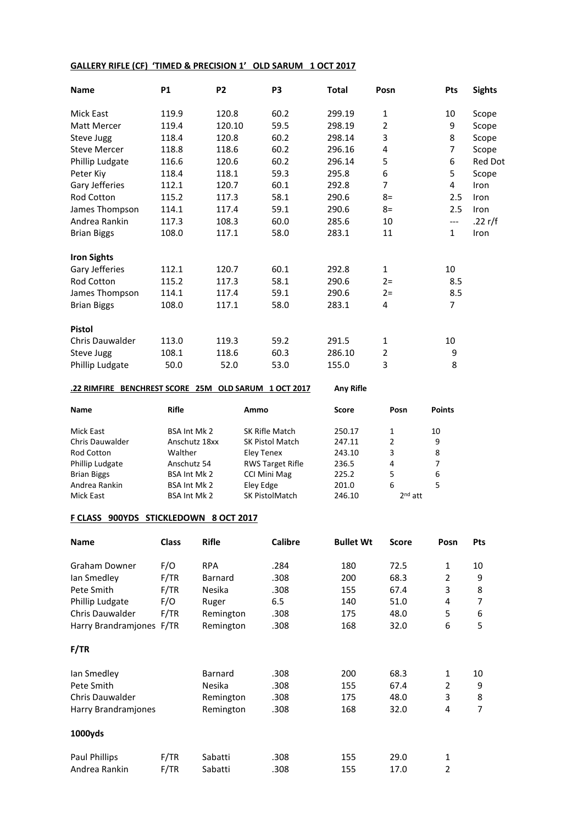### **GALLERY RIFLE (CF) 'TIMED & PRECISION 1' OLD SARUM 1 OCT 2017**

| <b>Name</b>         | <b>P1</b> | <b>P2</b> | P <sub>3</sub> | <b>Total</b> | Posn           | Pts               | <b>Sights</b>  |
|---------------------|-----------|-----------|----------------|--------------|----------------|-------------------|----------------|
| <b>Mick East</b>    | 119.9     | 120.8     | 60.2           | 299.19       | 1              | 10                | Scope          |
| Matt Mercer         | 119.4     | 120.10    | 59.5           | 298.19       | $\overline{2}$ | 9                 | Scope          |
| Steve Jugg          | 118.4     | 120.8     | 60.2           | 298.14       | 3              | 8                 | Scope          |
| <b>Steve Mercer</b> | 118.8     | 118.6     | 60.2           | 296.16       | 4              | $\overline{7}$    | Scope          |
| Phillip Ludgate     | 116.6     | 120.6     | 60.2           | 296.14       | 5              | 6                 | <b>Red Dot</b> |
| Peter Kiy           | 118.4     | 118.1     | 59.3           | 295.8        | 6              | 5                 | Scope          |
| Gary Jefferies      | 112.1     | 120.7     | 60.1           | 292.8        | 7              | 4                 | Iron           |
| <b>Rod Cotton</b>   | 115.2     | 117.3     | 58.1           | 290.6        | $8=$           | 2.5               | Iron           |
| James Thompson      | 114.1     | 117.4     | 59.1           | 290.6        | $8=$           | 2.5               | Iron           |
| Andrea Rankin       | 117.3     | 108.3     | 60.0           | 285.6        | 10             | $\qquad \qquad -$ | .22 $r/f$      |
| <b>Brian Biggs</b>  | 108.0     | 117.1     | 58.0           | 283.1        | 11             | $\mathbf{1}$      | Iron           |
| <b>Iron Sights</b>  |           |           |                |              |                |                   |                |
| Gary Jefferies      | 112.1     | 120.7     | 60.1           | 292.8        | $\mathbf{1}$   | 10                |                |
| Rod Cotton          | 115.2     | 117.3     | 58.1           | 290.6        | $2 =$          | 8.5               |                |
| James Thompson      | 114.1     | 117.4     | 59.1           | 290.6        | $2 =$          | 8.5               |                |
| <b>Brian Biggs</b>  | 108.0     | 117.1     | 58.0           | 283.1        | 4              | 7                 |                |
| <b>Pistol</b>       |           |           |                |              |                |                   |                |
| Chris Dauwalder     | 113.0     | 119.3     | 59.2           | 291.5        | 1              | 10                |                |
| Steve Jugg          | 108.1     | 118.6     | 60.3           | 286.10       | 2              | 9                 |                |
| Phillip Ludgate     | 50.0      | 52.0      | 53.0           | 155.0        | 3              | 8                 |                |

### **.22 RIMFIRE BENCHREST SCORE 25M OLD SARUM 1 OCT 2017 Any Rifle**

| <b>Name</b>            | Rifle               | Ammo                    | Score  | Posn      | <b>Points</b> |
|------------------------|---------------------|-------------------------|--------|-----------|---------------|
| Mick East              | BSA Int Mk 2        | SK Rifle Match          | 250.17 | 1         | 10            |
| <b>Chris Dauwalder</b> | Anschutz 18xx       | <b>SK Pistol Match</b>  | 247.11 | 2         | 9             |
| <b>Rod Cotton</b>      | Walther             | Eley Tenex              | 243.10 | 3         | 8             |
| Phillip Ludgate        | Anschutz 54         | <b>RWS Target Rifle</b> | 236.5  | 4         |               |
| <b>Brian Biggs</b>     | <b>BSA Int Mk 2</b> | <b>CCI Mini Mag</b>     | 225.2  | 5.        | 6             |
| Andrea Rankin          | <b>BSA Int Mk 2</b> | Eley Edge               | 201.0  | 6         | 5             |
| Mick East              | <b>BSA Int Mk 2</b> | <b>SK PistolMatch</b>   | 246.10 | $2nd$ att |               |

# **F CLASS 900YDS STICKLEDOWN 8 OCT 2017**

| <b>Name</b>              | <b>Class</b> | <b>Rifle</b> | <b>Calibre</b> | <b>Bullet Wt</b> | <b>Score</b> | Posn           | <b>Pts</b> |
|--------------------------|--------------|--------------|----------------|------------------|--------------|----------------|------------|
| Graham Downer            | F/O          | <b>RPA</b>   | .284           | 180              | 72.5         | 1              | 10         |
| lan Smedley              | F/TR         | Barnard      | .308           | 200              | 68.3         | $\overline{2}$ | 9          |
| Pete Smith               | F/TR         | Nesika       | .308           | 155              | 67.4         | 3              | 8          |
| Phillip Ludgate          | F/O          | Ruger        | 6.5            | 140              | 51.0         | 4              | 7          |
| <b>Chris Dauwalder</b>   | F/TR         | Remington    | .308           | 175              | 48.0         | 5              | 6          |
| Harry Brandramjones F/TR |              | Remington    | .308           | 168              | 32.0         | 6              | 5          |
| F/TR                     |              |              |                |                  |              |                |            |
| lan Smedley              |              | Barnard      | .308           | 200              | 68.3         | 1              | 10         |
| Pete Smith               |              | Nesika       | .308           | 155              | 67.4         | 2              | 9          |
| <b>Chris Dauwalder</b>   |              | Remington    | .308           | 175              | 48.0         | 3              | 8          |
| Harry Brandramjones      |              | Remington    | .308           | 168              | 32.0         | 4              | 7          |
| 1000yds                  |              |              |                |                  |              |                |            |
| <b>Paul Phillips</b>     | F/TR         | Sabatti      | .308           | 155              | 29.0         | 1              |            |
| Andrea Rankin            | F/TR         | Sabatti      | .308           | 155              | 17.0         | $\overline{2}$ |            |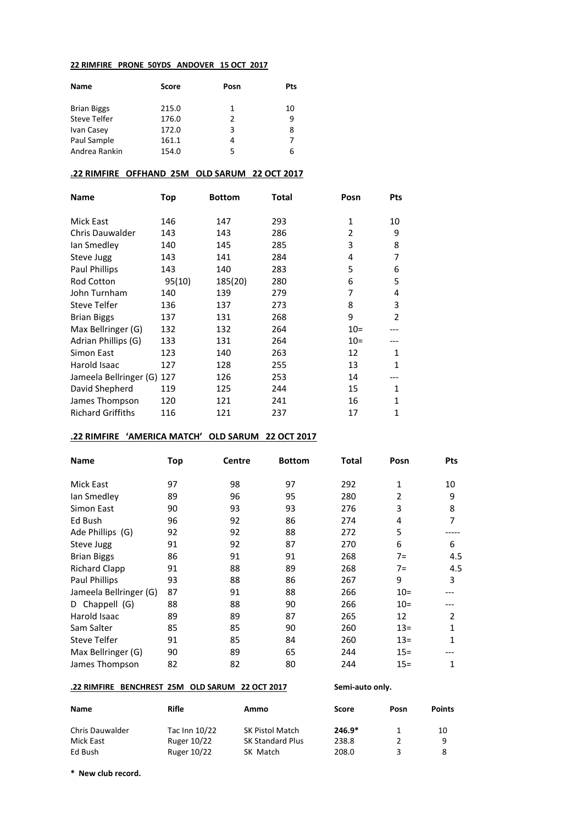#### **22 RIMFIRE PRONE 50YDS ANDOVER 15 OCT 2017**

| <b>Name</b>         | Score | Posn          | Pts |
|---------------------|-------|---------------|-----|
| <b>Brian Biggs</b>  | 215.0 | 1             | 10  |
| <b>Steve Telfer</b> | 176.0 | $\mathcal{P}$ | ٩   |
| Ivan Casey          | 172.0 | 3             | 8   |
| Paul Sample         | 161.1 | 4             |     |
| Andrea Rankin       | 154.0 | 5             | 6   |
|                     |       |               |     |

#### **.22 RIMFIRE OFFHAND 25M OLD SARUM 22 OCT 2017**

| Name                       | Top    | <b>Bottom</b> | Total | Posn   | <b>Pts</b>     |
|----------------------------|--------|---------------|-------|--------|----------------|
| Mick East                  | 146    | 147           | 293   | 1      | 10             |
| <b>Chris Dauwalder</b>     | 143    | 143           | 286   | 2      | 9              |
| lan Smedley                | 140    | 145           | 285   | 3      | 8              |
| Steve Jugg                 | 143    | 141           | 284   | 4      | 7              |
| Paul Phillips              | 143    | 140           | 283   | 5      | 6              |
| <b>Rod Cotton</b>          | 95(10) | 185(20)       | 280   | 6      | 5              |
| John Turnham               | 140    | 139           | 279   | 7      | 4              |
| <b>Steve Telfer</b>        | 136    | 137           | 273   | 8      | 3              |
| <b>Brian Biggs</b>         | 137    | 131           | 268   | 9      | $\overline{2}$ |
| Max Bellringer (G)         | 132    | 132           | 264   | $10 =$ |                |
| Adrian Phillips (G)        | 133    | 131           | 264   | $10 =$ |                |
| Simon East                 | 123    | 140           | 263   | 12     | 1              |
| Harold Isaac               | 127    | 128           | 255   | 13     | $\mathbf{1}$   |
| Jameela Bellringer (G) 127 |        | 126           | 253   | 14     |                |
| David Shepherd             | 119    | 125           | 244   | 15     | 1              |
| James Thompson             | 120    | 121           | 241   | 16     | $\mathbf{1}$   |
| <b>Richard Griffiths</b>   | 116    | 121           | 237   | 17     | 1              |

#### **.22 RIMFIRE 'AMERICA MATCH' OLD SARUM 22 OCT 2017**

| <b>Name</b>            | Top | <b>Centre</b> | <b>Bottom</b> | Total | Posn   | <b>Pts</b> |
|------------------------|-----|---------------|---------------|-------|--------|------------|
| Mick East              | 97  | 98            | 97            | 292   | 1      | 10         |
| lan Smedley            | 89  | 96            | 95            | 280   | 2      | 9          |
| Simon East             | 90  | 93            | 93            | 276   | 3      | 8          |
| Ed Bush                | 96  | 92            | 86            | 274   | 4      | 7          |
| Ade Phillips (G)       | 92  | 92            | 88            | 272   | 5      |            |
| Steve Jugg             | 91  | 92            | 87            | 270   | 6      | 6          |
| <b>Brian Biggs</b>     | 86  | 91            | 91            | 268   | $7=$   | 4.5        |
| <b>Richard Clapp</b>   | 91  | 88            | 89            | 268   | $7=$   | 4.5        |
| Paul Phillips          | 93  | 88            | 86            | 267   | 9      | 3          |
| Jameela Bellringer (G) | 87  | 91            | 88            | 266   | $10 =$ |            |
| Chappell (G)<br>D      | 88  | 88            | 90            | 266   | $10 =$ |            |
| Harold Isaac           | 89  | 89            | 87            | 265   | 12     | 2          |
| Sam Salter             | 85  | 85            | 90            | 260   | $13 =$ | 1          |
| Steve Telfer           | 91  | 85            | 84            | 260   | $13 =$ | 1          |
| Max Bellringer (G)     | 90  | 89            | 65            | 244   | $15 =$ |            |
| James Thompson         | 82  | 82            | 80            | 244   | $15 =$ | 1          |

# **.22 RIMFIRE BENCHREST 25M OLD SARUM 22 OCT 2017 Semi-auto only.**

| Name                   | Rifle         | Ammo                   | Score    | Posn | <b>Points</b> |
|------------------------|---------------|------------------------|----------|------|---------------|
| <b>Chris Dauwalder</b> | Tac Inn 10/22 | <b>SK Pistol Match</b> | $246.9*$ |      | 10            |
| Mick East              | Ruger 10/22   | SK Standard Plus       | 238.8    |      | 9             |
| Ed Bush                | Ruger 10/22   | SK Match               | 208.0    |      |               |

**\* New club record.**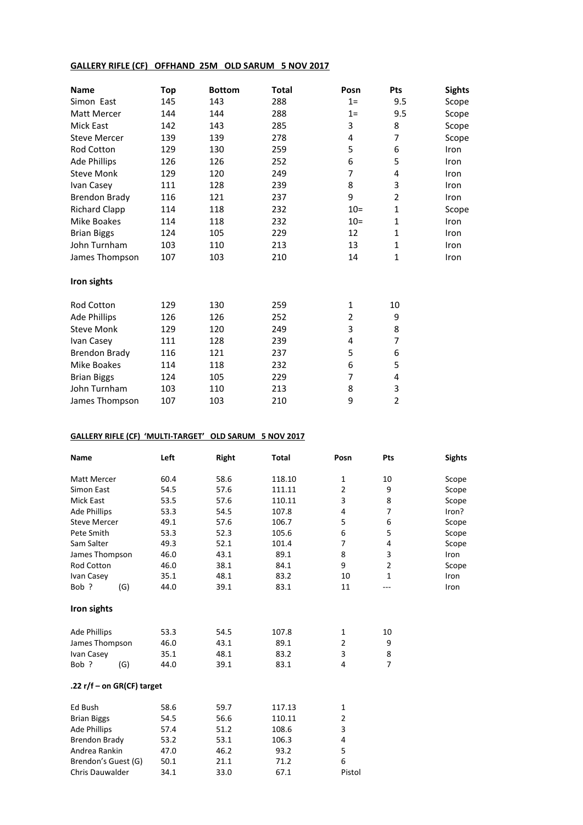### **GALLERY RIFLE (CF) OFFHAND 25M OLD SARUM 5 NOV 2017**

| <b>Name</b>          | Top | <b>Bottom</b> | Total | Posn   | Pts            | <b>Sights</b> |
|----------------------|-----|---------------|-------|--------|----------------|---------------|
| Simon East           | 145 | 143           | 288   | $1=$   | 9.5            | Scope         |
| Matt Mercer          | 144 | 144           | 288   | $1=$   | 9.5            | Scope         |
| Mick East            | 142 | 143           | 285   | 3      | 8              | Scope         |
| <b>Steve Mercer</b>  | 139 | 139           | 278   | 4      | 7              | Scope         |
| Rod Cotton           | 129 | 130           | 259   | 5      | 6              | Iron          |
| <b>Ade Phillips</b>  | 126 | 126           | 252   | 6      | 5              | Iron          |
| <b>Steve Monk</b>    | 129 | 120           | 249   | 7      | 4              | Iron          |
| Ivan Casey           | 111 | 128           | 239   | 8      | 3              | Iron          |
| <b>Brendon Brady</b> | 116 | 121           | 237   | 9      | $\overline{2}$ | Iron          |
| <b>Richard Clapp</b> | 114 | 118           | 232   | $10 =$ | $\mathbf{1}$   | Scope         |
| Mike Boakes          | 114 | 118           | 232   | $10 =$ | $\mathbf{1}$   | Iron          |
| <b>Brian Biggs</b>   | 124 | 105           | 229   | 12     | $\mathbf{1}$   | Iron          |
| John Turnham         | 103 | 110           | 213   | 13     | $\mathbf{1}$   | Iron          |
| James Thompson       | 107 | 103           | 210   | 14     | $\mathbf{1}$   | Iron          |
| Iron sights          |     |               |       |        |                |               |
| <b>Rod Cotton</b>    | 129 | 130           | 259   | 1      | 10             |               |
| <b>Ade Phillips</b>  | 126 | 126           | 252   | 2      | 9              |               |
| <b>Steve Monk</b>    | 129 | 120           | 249   | 3      | 8              |               |
| Ivan Casey           | 111 | 128           | 239   | 4      | 7              |               |
| <b>Brendon Brady</b> | 116 | 121           | 237   | 5      | 6              |               |
| Mike Boakes          | 114 | 118           | 232   | 6      | 5              |               |
| <b>Brian Biggs</b>   | 124 | 105           | 229   | 7      | 4              |               |
| John Turnham         | 103 | 110           | 213   | 8      | 3              |               |
| James Thompson       | 107 | 103           | 210   | 9      | 2              |               |

# **GALLERY RIFLE (CF) 'MULTI-TARGET' OLD SARUM 5 NOV 2017**

| Name                       | Left | <b>Right</b> | <b>Total</b> | Posn           | Pts            | <b>Sights</b> |
|----------------------------|------|--------------|--------------|----------------|----------------|---------------|
| <b>Matt Mercer</b>         | 60.4 | 58.6         | 118.10       | 1              | 10             | Scope         |
| Simon East                 | 54.5 | 57.6         | 111.11       | $\overline{2}$ | 9              | Scope         |
| <b>Mick East</b>           | 53.5 | 57.6         | 110.11       | 3              | 8              | Scope         |
| <b>Ade Phillips</b>        | 53.3 | 54.5         | 107.8        | 4              | 7              | Iron?         |
| <b>Steve Mercer</b>        | 49.1 | 57.6         | 106.7        | 5              | 6              | Scope         |
| Pete Smith                 | 53.3 | 52.3         | 105.6        | 6              | 5              | Scope         |
| Sam Salter                 | 49.3 | 52.1         | 101.4        | $\overline{7}$ | 4              | Scope         |
| James Thompson             | 46.0 | 43.1         | 89.1         | 8              | 3              | Iron          |
| Rod Cotton                 | 46.0 | 38.1         | 84.1         | 9              | 2              | Scope         |
| Ivan Casey                 | 35.1 | 48.1         | 83.2         | 10             | $\mathbf{1}$   | Iron          |
| Bob ?<br>(G)               | 44.0 | 39.1         | 83.1         | 11             |                | Iron          |
| Iron sights                |      |              |              |                |                |               |
| <b>Ade Phillips</b>        | 53.3 | 54.5         | 107.8        | 1              | 10             |               |
| James Thompson             | 46.0 | 43.1         | 89.1         | $\overline{2}$ | 9              |               |
| Ivan Casey                 | 35.1 | 48.1         | 83.2         | 3              | 8              |               |
| Bob ?<br>(G)               | 44.0 | 39.1         | 83.1         | 4              | $\overline{7}$ |               |
| .22 r/f - on GR(CF) target |      |              |              |                |                |               |
| Ed Bush                    | 58.6 | 59.7         | 117.13       | 1              |                |               |
| <b>Brian Biggs</b>         | 54.5 | 56.6         | 110.11       | $\overline{2}$ |                |               |
| <b>Ade Phillips</b>        | 57.4 | 51.2         | 108.6        | 3              |                |               |
| <b>Brendon Brady</b>       | 53.2 | 53.1         | 106.3        | 4              |                |               |
| Andrea Rankin              | 47.0 | 46.2         | 93.2         | 5              |                |               |
| Brendon's Guest (G)        | 50.1 | 21.1         | 71.2         | 6              |                |               |
| <b>Chris Dauwalder</b>     | 34.1 | 33.0         | 67.1         | Pistol         |                |               |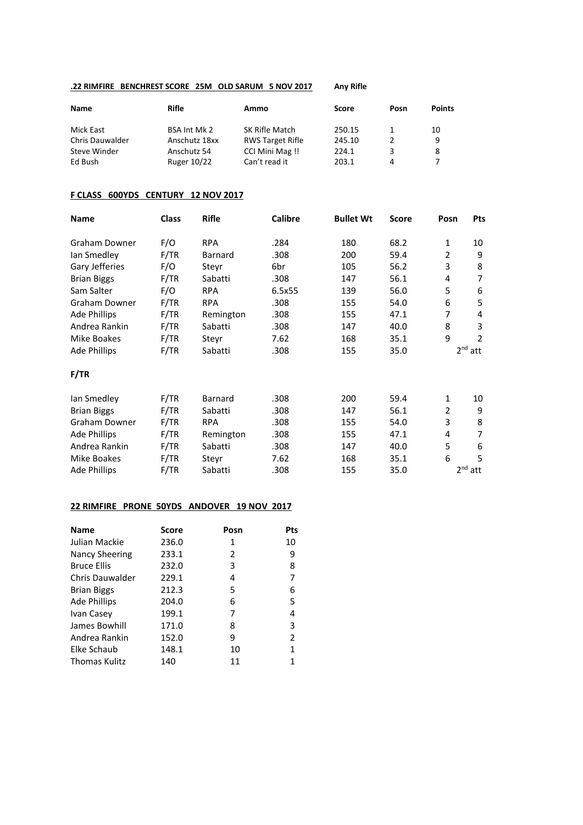### **.22 RIMFIRE BENCHREST SCORE 25M OLD SARUM 5 NOV 2017 Any Rifle**

| Name                   | Rifle         | Ammo                    | Score  | Posn | <b>Points</b> |
|------------------------|---------------|-------------------------|--------|------|---------------|
| Mick East              | BSA Int Mk 2  | SK Rifle Match          | 250.15 |      | 10            |
| <b>Chris Dauwalder</b> | Anschutz 18xx | <b>RWS Target Rifle</b> | 245.10 |      | 9             |
| Steve Winder           | Anschutz 54   | CCI Mini Mag!!          | 224.1  |      | 8             |
| Ed Bush                | Ruger 10/22   | Can't read it           | 203.1  | 4    |               |

### **F CLASS 600YDS CENTURY 12 NOV 2017**

| Name                | <b>Class</b> | <b>Rifle</b> | <b>Calibre</b> | <b>Bullet Wt</b> | <b>Score</b> | Posn | Pts          |
|---------------------|--------------|--------------|----------------|------------------|--------------|------|--------------|
| Graham Downer       | F/O          | <b>RPA</b>   | .284           | 180              | 68.2         | 1    | 10           |
| lan Smedley         | F/TR         | Barnard      | .308           | 200              | 59.4         | 2    | 9            |
| Gary Jefferies      | F/O          | Steyr        | 6br            | 105              | 56.2         | 3    | 8            |
| <b>Brian Biggs</b>  | F/TR         | Sabatti      | .308           | 147              | 56.1         | 4    | 7            |
| Sam Salter          | F/O          | <b>RPA</b>   | 6.5x55         | 139              | 56.0         | 5    | 6            |
| Graham Downer       | F/TR         | <b>RPA</b>   | .308           | 155              | 54.0         | 6    | 5            |
| <b>Ade Phillips</b> | F/TR         | Remington    | .308           | 155              | 47.1         | 7    | 4            |
| Andrea Rankin       | F/TR         | Sabatti      | .308           | 147              | 40.0         | 8    | 3            |
| Mike Boakes         | F/TR         | Steyr        | 7.62           | 168              | 35.1         | 9    | 2            |
| <b>Ade Phillips</b> | F/TR         | Sabatti      | .308           | 155              | 35.0         |      | $2nd$ att    |
| F/TR                |              |              |                |                  |              |      |              |
| lan Smedley         | F/TR         | Barnard      | .308           | 200              | 59.4         | 1    | 10           |
| <b>Brian Biggs</b>  | F/TR         | Sabatti      | .308           | 147              | 56.1         | 2    | 9            |
| Graham Downer       | F/TR         | <b>RPA</b>   | .308           | 155              | 54.0         | 3    | 8            |
| Ade Phillips        | F/TR         | Remington    | .308           | 155              | 47.1         | 4    | 7            |
| Andrea Rankin       | F/TR         | Sabatti      | .308           | 147              | 40.0         | 5    | 6            |
| Mike Boakes         | F/TR         | Steyr        | 7.62           | 168              | 35.1         | 6    | 5            |
| <b>Ade Phillips</b> | F/TR         | Sabatti      | .308           | 155              | 35.0         |      | $2^{nd}$ att |

# **22 RIMFIRE PRONE 50YDS ANDOVER 19 NOV 2017**

| <b>Name</b>           | <b>Score</b> | Posn | Pts            |
|-----------------------|--------------|------|----------------|
| Julian Mackie         | 236.0        | 1    | 10             |
| <b>Nancy Sheering</b> | 233.1        | 2    | 9              |
| <b>Bruce Ellis</b>    | 232.0        | 3    | 8              |
| Chris Dauwalder       | 229.1        | 4    | 7              |
| <b>Brian Biggs</b>    | 212.3        | 5    | 6              |
| <b>Ade Phillips</b>   | 204.0        | 6    | 5              |
| Ivan Casey            | 199.1        | 7    | 4              |
| James Bowhill         | 171.0        | 8    | 3              |
| Andrea Rankin         | 152.0        | 9    | $\overline{2}$ |
| Elke Schaub           | 148.1        | 10   | 1              |
| <b>Thomas Kulitz</b>  | 140          | 11   | 1              |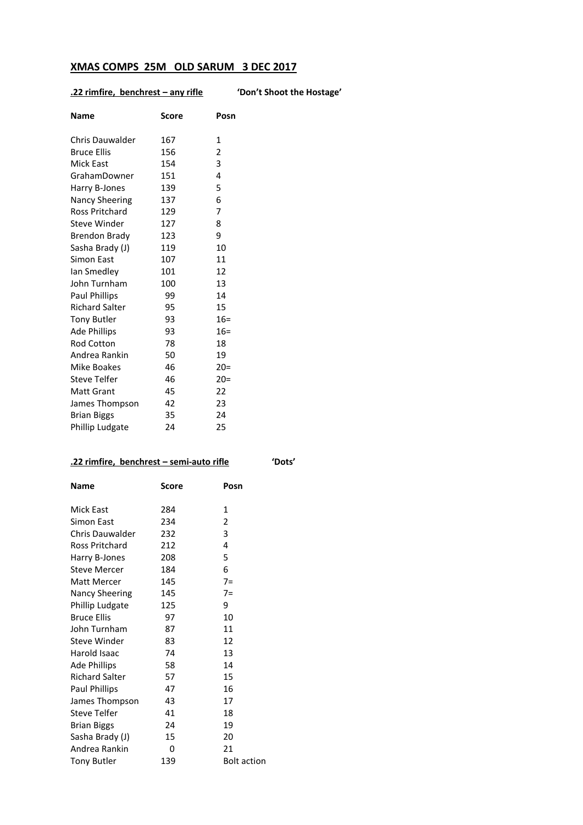# **XMAS COMPS 25M OLD SARUM 3 DEC 2017**

# **.22 rimfire, benchrest – any rifle 'Don't Shoot the Hostage'**

| <b>Name</b>            | <b>Score</b> | Posn   |
|------------------------|--------------|--------|
| <b>Chris Dauwalder</b> | 167          | 1      |
| <b>Bruce Ellis</b>     | 156          | 2      |
| <b>Mick East</b>       | 154          | 3      |
| GrahamDowner           | 151          | 4      |
| Harry B-Jones          | 139          | 5      |
| <b>Nancy Sheering</b>  | 137          | 6      |
| Ross Pritchard         | 129          | 7      |
| <b>Steve Winder</b>    | 127          | 8      |
| <b>Brendon Brady</b>   | 123          | 9      |
| Sasha Brady (J)        | 119          | 10     |
| Simon East             | 107          | 11     |
| lan Smedley            | 101          | 12     |
| John Turnham           | 100          | 13     |
| <b>Paul Phillips</b>   | 99           | 14     |
| <b>Richard Salter</b>  | 95           | 15     |
| <b>Tony Butler</b>     | 93           | $16 =$ |
| <b>Ade Phillips</b>    | 93           | $16 =$ |
| <b>Rod Cotton</b>      | 78           | 18     |
| Andrea Rankin          | 50           | 19     |
| Mike Boakes            | 46           | $20=$  |
| Steve Telfer           | 46           | $20 =$ |
| <b>Matt Grant</b>      | 45           | 22     |
| James Thompson         | 42           | 23     |
| <b>Brian Biggs</b>     | 35           | 24     |
| Phillip Ludgate        | 24           | 25     |

# **.22 rimfire, benchrest – semi-auto rifle 'Dots'**

| Name                  | Score | Posn               |
|-----------------------|-------|--------------------|
| Mick East             | 284   | 1                  |
| Simon East            | 234   | $\overline{2}$     |
| Chris Dauwalder       | 232   | 3                  |
| Ross Pritchard        | 212   | 4                  |
| Harry B-Jones         | 208   | 5                  |
| Steve Mercer          | 184   | 6                  |
| Matt Mercer           | 145   | $7=$               |
| Nancy Sheering        | 145   | $7=$               |
| Phillip Ludgate       | 125   | 9                  |
| <b>Bruce Ellis</b>    | 97    | 10                 |
| John Turnham          | 87    | 11                 |
| Steve Winder          | 83    | 12                 |
| Harold Isaac          | 74    | 13                 |
| <b>Ade Phillips</b>   | 58    | 14                 |
| <b>Richard Salter</b> | 57    | 15                 |
| Paul Phillips         | 47    | 16                 |
| James Thompson        | 43    | 17                 |
| <b>Steve Telfer</b>   | 41    | 18                 |
| <b>Brian Biggs</b>    | 24    | 19                 |
| Sasha Brady (J)       | 15    | 20                 |
| Andrea Rankin         | 0     | 21                 |
| <b>Tony Butler</b>    | 139   | <b>Bolt action</b> |
|                       |       |                    |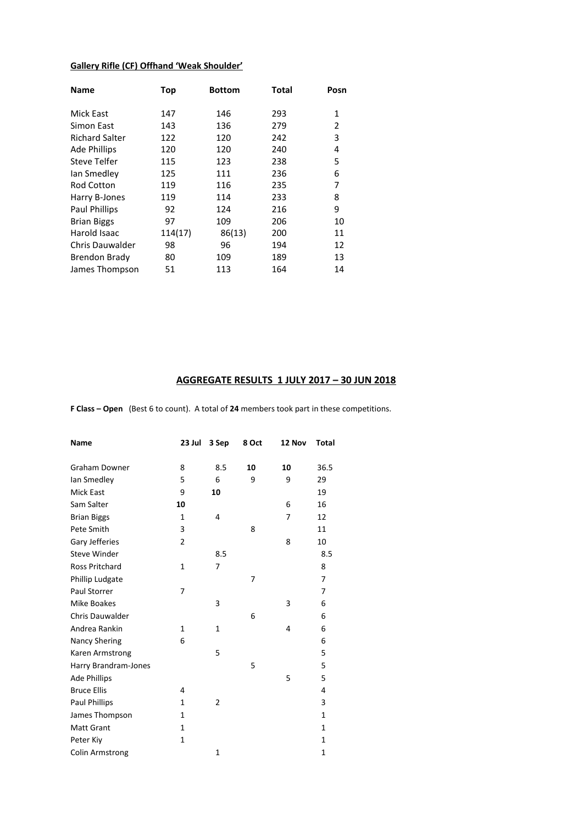# **Gallery Rifle (CF) Offhand 'Weak Shoulder'**

| Name                   | Top     | <b>Bottom</b> | Total | Posn |
|------------------------|---------|---------------|-------|------|
| Mick East              | 147     | 146           | 293   | 1    |
| Simon East             | 143     | 136           | 279   | 2    |
| <b>Richard Salter</b>  | 122     | 120           | 242   | 3    |
| <b>Ade Phillips</b>    | 120     | 120           | 240   | 4    |
| Steve Telfer           | 115     | 123           | 238   | 5    |
| lan Smedley            | 125     | 111           | 236   | 6    |
| <b>Rod Cotton</b>      | 119     | 116           | 235   | 7    |
| Harry B-Jones          | 119     | 114           | 233   | 8    |
| <b>Paul Phillips</b>   | 92      | 124           | 216   | 9    |
| <b>Brian Biggs</b>     | 97      | 109           | 206   | 10   |
| Harold Isaac           | 114(17) | 86(13)        | 200   | 11   |
| <b>Chris Dauwalder</b> | 98      | 96            | 194   | 12   |
| <b>Brendon Brady</b>   | 80      | 109           | 189   | 13   |
| James Thompson         | 51      | 113           | 164   | 14   |

### **AGGREGATE RESULTS 1 JULY 2017 – 30 JUN 2018**

**F Class – Open** (Best 6 to count). A total of **24** members took part in these competitions.

| Name                  | 23 Jul         | 3 Sep          | 8 Oct | 12 Nov | Total        |
|-----------------------|----------------|----------------|-------|--------|--------------|
| <b>Graham Downer</b>  | 8              | 8.5            | 10    | 10     | 36.5         |
| lan Smedley           | 5              | 6              | 9     | 9      | 29           |
| <b>Mick East</b>      | 9              | 10             |       |        | 19           |
|                       |                |                |       |        |              |
| Sam Salter            | 10             |                |       | 6      | 16           |
| <b>Brian Biggs</b>    | 1              | 4              |       | 7      | 12           |
| Pete Smith            | 3              |                | 8     |        | 11           |
| Gary Jefferies        | $\overline{2}$ |                |       | 8      | 10           |
| <b>Steve Winder</b>   |                | 8.5            |       |        | 8.5          |
| <b>Ross Pritchard</b> | $\mathbf{1}$   | 7              |       |        | 8            |
| Phillip Ludgate       |                |                | 7     |        | 7            |
| Paul Storrer          | 7              |                |       |        | 7            |
| Mike Boakes           |                | 3              |       | 3      | 6            |
| Chris Dauwalder       |                |                | 6     |        | 6            |
| Andrea Rankin         | 1              | 1              |       | 4      | 6            |
| <b>Nancy Shering</b>  | 6              |                |       |        | 6            |
| Karen Armstrong       |                | 5              |       |        | 5            |
| Harry Brandram-Jones  |                |                | 5     |        | 5            |
| <b>Ade Phillips</b>   |                |                |       | 5      | 5            |
| <b>Bruce Ellis</b>    | 4              |                |       |        | 4            |
| Paul Phillips         | 1              | $\overline{2}$ |       |        | 3            |
| James Thompson        | 1              |                |       |        | $\mathbf{1}$ |
| Matt Grant            | 1              |                |       |        | 1            |
| Peter Kiy             | $\mathbf{1}$   |                |       |        | $\mathbf{1}$ |
| Colin Armstrong       |                | $\overline{1}$ |       |        | $\mathbf{1}$ |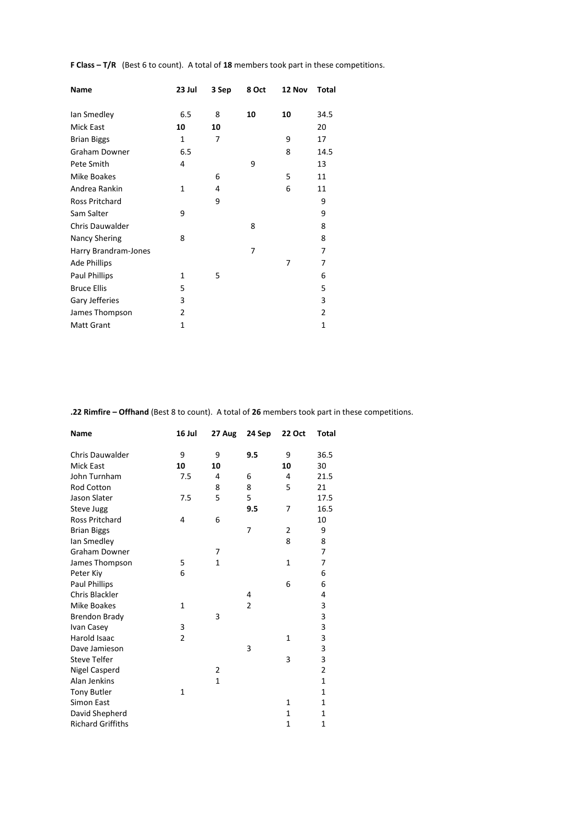**F Class – T/R** (Best 6 to count). A total of **18** members took part in these competitions.

| <b>Name</b>          | 23 Jul       | 3 Sep | 8 Oct | 12 Nov | Total          |
|----------------------|--------------|-------|-------|--------|----------------|
| lan Smedley          | 6.5          | 8     | 10    | 10     | 34.5           |
| Mick East            | 10           | 10    |       |        | 20             |
| <b>Brian Biggs</b>   | $\mathbf{1}$ | 7     |       | 9      | 17             |
| Graham Downer        | 6.5          |       |       | 8      | 14.5           |
| Pete Smith           | 4            |       | 9     |        | 13             |
| Mike Boakes          |              | 6     |       | 5      | 11             |
| Andrea Rankin        | $\mathbf{1}$ | 4     |       | 6      | 11             |
| Ross Pritchard       |              | 9     |       |        | 9              |
| Sam Salter           | 9            |       |       |        | 9              |
| Chris Dauwalder      |              |       | 8     |        | 8              |
| <b>Nancy Shering</b> | 8            |       |       |        | 8              |
| Harry Brandram-Jones |              |       | 7     |        | 7              |
| <b>Ade Phillips</b>  |              |       |       | 7      | 7              |
| <b>Paul Phillips</b> | $\mathbf{1}$ | 5     |       |        | 6              |
| <b>Bruce Ellis</b>   | 5            |       |       |        | 5              |
| Gary Jefferies       | 3            |       |       |        | 3              |
| James Thompson       | 2            |       |       |        | $\overline{2}$ |
| Matt Grant           | 1            |       |       |        | 1              |

**.22 Rimfire – Offhand** (Best 8 to count). A total of **26** members took part in these competitions.

| <b>Name</b>              | 16 Jul         | 27 Aug         | 24 Sep | <b>22 Oct</b> | Total          |
|--------------------------|----------------|----------------|--------|---------------|----------------|
| <b>Chris Dauwalder</b>   | 9              | 9              | 9.5    | 9             | 36.5           |
| <b>Mick East</b>         | 10             | 10             |        | 10            | 30             |
| John Turnham             | 7.5            | 4              | 6      | 4             | 21.5           |
| Rod Cotton               |                | 8              | 8      | 5             | 21             |
| Jason Slater             | 7.5            | 5              | 5      |               | 17.5           |
| Steve Jugg               |                |                | 9.5    | 7             | 16.5           |
| <b>Ross Pritchard</b>    | 4              | 6              |        |               | 10             |
| <b>Brian Biggs</b>       |                |                | 7      | 2             | 9              |
| lan Smedley              |                |                |        | 8             | 8              |
| <b>Graham Downer</b>     |                | 7              |        |               | $\overline{7}$ |
| James Thompson           | 5              | $\mathbf{1}$   |        | 1             | 7              |
| Peter Kiy                | 6              |                |        |               | 6              |
| <b>Paul Phillips</b>     |                |                |        | 6             | 6              |
| Chris Blackler           |                |                | 4      |               | 4              |
| Mike Boakes              | $\mathbf{1}$   |                | 2      |               | 3              |
| <b>Brendon Brady</b>     |                | 3              |        |               | 3              |
| Ivan Casey               | 3              |                |        |               | 3              |
| Harold Isaac             | $\overline{2}$ |                |        | $\mathbf{1}$  | 3              |
| Dave Jamieson            |                |                | 3      |               | 3              |
| <b>Steve Telfer</b>      |                |                |        | 3             | 3              |
| Nigel Casperd            |                | $\overline{2}$ |        |               | $\overline{2}$ |
| Alan Jenkins             |                | $\mathbf{1}$   |        |               | 1              |
| <b>Tony Butler</b>       | $\mathbf{1}$   |                |        |               | 1              |
| <b>Simon East</b>        |                |                |        | 1             | $\mathbf{1}$   |
| David Shepherd           |                |                |        | 1             | 1              |
| <b>Richard Griffiths</b> |                |                |        | $\mathbf{1}$  | $\mathbf{1}$   |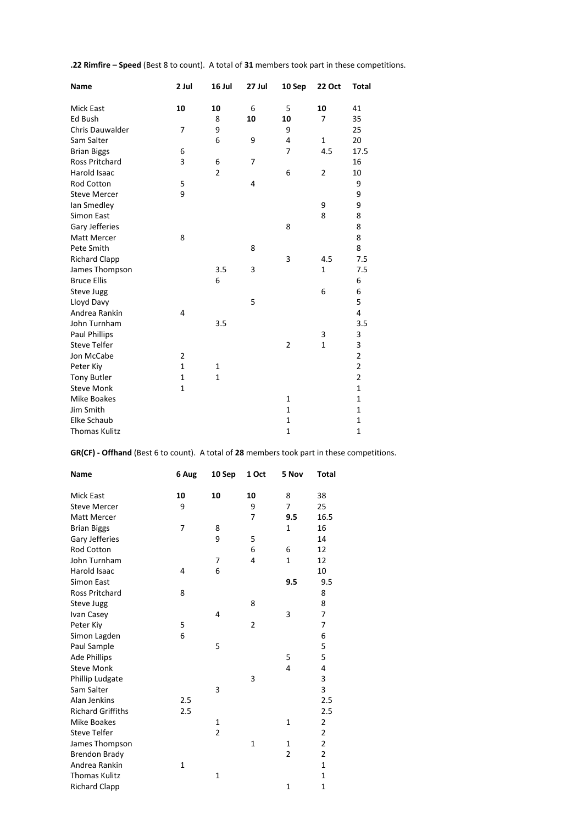**.22 Rimfire – Speed** (Best 8 to count). A total of **31** members took part in these competitions.

| Name                   | 2 Jul          | 16 Jul         | 27 Jul | 10 Sep         | <b>22 Oct</b>  | <b>Total</b>   |
|------------------------|----------------|----------------|--------|----------------|----------------|----------------|
| Mick East              | 10             | 10             | 6      | 5              | 10             | 41             |
| Ed Bush                |                | 8              | 10     | 10             | 7              | 35             |
| <b>Chris Dauwalder</b> | $\overline{7}$ | 9              |        | 9              |                | 25             |
| Sam Salter             |                | 6              | 9      | 4              | $\mathbf{1}$   | 20             |
| <b>Brian Biggs</b>     | 6              |                |        | 7              | 4.5            | 17.5           |
| <b>Ross Pritchard</b>  | 3              | 6              | 7      |                |                | 16             |
| Harold Isaac           |                | $\overline{2}$ |        | 6              | $\overline{2}$ | 10             |
| <b>Rod Cotton</b>      | 5              |                | 4      |                |                | 9              |
| <b>Steve Mercer</b>    | 9              |                |        |                |                | 9              |
| lan Smedley            |                |                |        |                | 9              | 9              |
| Simon East             |                |                |        |                | 8              | 8              |
| Gary Jefferies         |                |                |        | 8              |                | 8              |
| <b>Matt Mercer</b>     | 8              |                |        |                |                | 8              |
| Pete Smith             |                |                | 8      |                |                | 8              |
| <b>Richard Clapp</b>   |                |                |        | 3              | 4.5            | 7.5            |
| James Thompson         |                | 3.5            | 3      |                | $\mathbf{1}$   | 7.5            |
| <b>Bruce Ellis</b>     |                | 6              |        |                |                | 6              |
| Steve Jugg             |                |                |        |                | 6              | 6              |
| Lloyd Davy             |                |                | 5      |                |                | 5              |
| Andrea Rankin          | 4              |                |        |                |                | 4              |
| John Turnham           |                | 3.5            |        |                |                | 3.5            |
| Paul Phillips          |                |                |        |                | 3              | 3              |
| <b>Steve Telfer</b>    |                |                |        | $\overline{2}$ | $\mathbf{1}$   | 3              |
| Jon McCabe             | $\overline{2}$ |                |        |                |                | $\overline{2}$ |
| Peter Kiy              | $\mathbf{1}$   | $\mathbf{1}$   |        |                |                | $\overline{2}$ |
| <b>Tony Butler</b>     | $\mathbf{1}$   | $\mathbf 1$    |        |                |                | $\overline{2}$ |
| <b>Steve Monk</b>      | $\mathbf{1}$   |                |        |                |                | $\mathbf 1$    |
| <b>Mike Boakes</b>     |                |                |        | $\mathbf{1}$   |                | 1              |
| Jim Smith              |                |                |        | $\mathbf{1}$   |                | $\mathbf 1$    |
| Elke Schaub            |                |                |        | 1              |                | 1              |
| <b>Thomas Kulitz</b>   |                |                |        | $\mathbf{1}$   |                | $\mathbf 1$    |

**GR(CF) - Offhand** (Best 6 to count). A total of **28** members took part in these competitions.

| Name                     | 6 Aug | 10 Sep | 1 Oct          | 5 Nov          | <b>Total</b>   |
|--------------------------|-------|--------|----------------|----------------|----------------|
| Mick East                | 10    | 10     | 10             | 8              | 38             |
| <b>Steve Mercer</b>      | 9     |        | 9              | $\overline{7}$ | 25             |
| <b>Matt Mercer</b>       |       |        | 7              | 9.5            | 16.5           |
| <b>Brian Biggs</b>       | 7     | 8      |                | $\mathbf{1}$   | 16             |
| Gary Jefferies           |       | 9      | 5              |                | 14             |
| Rod Cotton               |       |        | 6              | 6              | 12             |
| John Turnham             |       | 7      | 4              | $\mathbf{1}$   | 12             |
| Harold Isaac             | 4     | 6      |                |                | 10             |
| <b>Simon East</b>        |       |        |                | 9.5            | 9.5            |
| Ross Pritchard           | 8     |        |                |                | 8              |
| Steve Jugg               |       |        | 8              |                | 8              |
| Ivan Casey               |       | 4      |                | 3              | 7              |
| Peter Kiy                | 5     |        | $\overline{2}$ |                | 7              |
| Simon Lagden             | 6     |        |                |                | 6              |
| Paul Sample              |       | 5      |                |                | 5              |
| <b>Ade Phillips</b>      |       |        |                | 5              | 5              |
| <b>Steve Monk</b>        |       |        |                | 4              | 4              |
| Phillip Ludgate          |       |        | 3              |                | 3              |
| Sam Salter               |       | 3      |                |                | 3              |
| Alan Jenkins             | 2.5   |        |                |                | 2.5            |
| <b>Richard Griffiths</b> | 2.5   |        |                |                | 2.5            |
| <b>Mike Boakes</b>       |       | 1      |                | 1              | $\overline{2}$ |
| <b>Steve Telfer</b>      |       | 2      |                |                | $\overline{2}$ |
| James Thompson           |       |        | $\mathbf{1}$   | $\mathbf{1}$   | $\overline{2}$ |
| <b>Brendon Brady</b>     |       |        |                | $\overline{2}$ | 2              |
| Andrea Rankin            | 1     |        |                |                | 1              |
| <b>Thomas Kulitz</b>     |       | 1      |                |                | $\mathbf{1}$   |
| <b>Richard Clapp</b>     |       |        |                | $\mathbf{1}$   | $\mathbf{1}$   |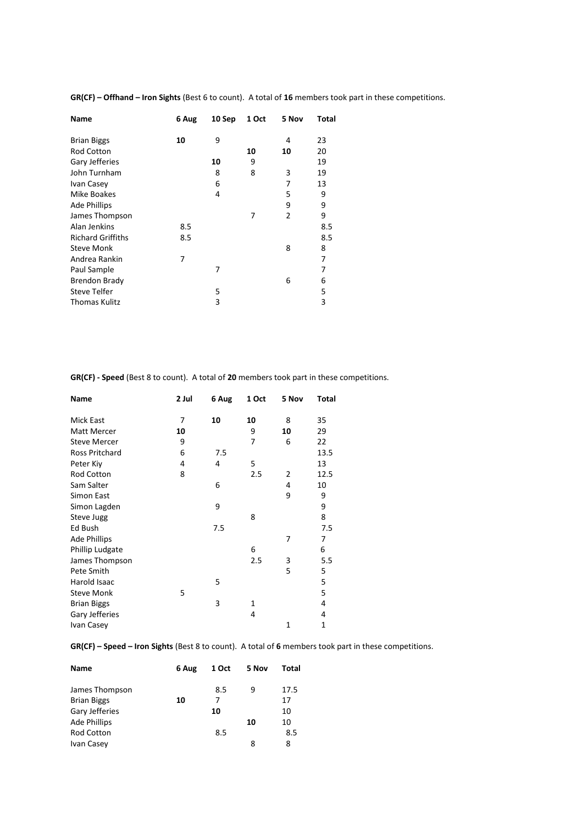**GR(CF) – Offhand – Iron Sights** (Best 6 to count). A total of **16** members took part in these competitions.

| Name                     | 6 Aug | 10 Sep | 1 Oct | 5 Nov | Total |
|--------------------------|-------|--------|-------|-------|-------|
| <b>Brian Biggs</b>       | 10    | 9      |       | 4     | 23    |
| <b>Rod Cotton</b>        |       |        | 10    | 10    | 20    |
| Gary Jefferies           |       | 10     | 9     |       | 19    |
| John Turnham             |       | 8      | 8     | 3     | 19    |
| Ivan Casey               |       | 6      |       | 7     | 13    |
| Mike Boakes              |       | 4      |       | 5     | 9     |
| <b>Ade Phillips</b>      |       |        |       | 9     | 9     |
| James Thompson           |       |        | 7     | 2     | 9     |
| Alan Jenkins             | 8.5   |        |       |       | 8.5   |
| <b>Richard Griffiths</b> | 8.5   |        |       |       | 8.5   |
| <b>Steve Monk</b>        |       |        |       | 8     | 8     |
| Andrea Rankin            | 7     |        |       |       | 7     |
| Paul Sample              |       | 7      |       |       | 7     |
| <b>Brendon Brady</b>     |       |        |       | 6     | 6     |
| <b>Steve Telfer</b>      |       | 5      |       |       | 5     |
| Thomas Kulitz            |       | 3      |       |       | 3     |

**GR(CF) - Speed** (Best 8 to count). A total of **20** members took part in these competitions.

| Name                | 2 Jul | 6 Aug | 1 Oct | 5 Nov        | Total |  |
|---------------------|-------|-------|-------|--------------|-------|--|
| Mick East           | 7     | 10    | 10    | 8            | 35    |  |
| Matt Mercer         | 10    |       | 9     | 10           | 29    |  |
| <b>Steve Mercer</b> | 9     |       | 7     | 6            | 22    |  |
| Ross Pritchard      | 6     | 7.5   |       |              | 13.5  |  |
| Peter Kiy           | 4     | 4     | 5     |              | 13    |  |
| Rod Cotton          | 8     |       | 2.5   | 2            | 12.5  |  |
| Sam Salter          |       | 6     |       | 4            | 10    |  |
| Simon East          |       |       |       | 9            | 9     |  |
| Simon Lagden        |       | 9     |       |              | 9     |  |
| Steve Jugg          |       |       | 8     |              | 8     |  |
| Ed Bush             |       | 7.5   |       |              | 7.5   |  |
| <b>Ade Phillips</b> |       |       |       | 7            | 7     |  |
| Phillip Ludgate     |       |       | 6     |              | 6     |  |
| James Thompson      |       |       | 2.5   | 3            | 5.5   |  |
| Pete Smith          |       |       |       | 5            | 5     |  |
| Harold Isaac        |       | 5     |       |              | 5     |  |
| <b>Steve Monk</b>   | 5     |       |       |              | 5     |  |
| <b>Brian Biggs</b>  |       | 3     | 1     |              | 4     |  |
| Gary Jefferies      |       |       | 4     |              | 4     |  |
| Ivan Casey          |       |       |       | $\mathbf{1}$ | 1     |  |

**GR(CF) – Speed – Iron Sights** (Best 8 to count). A total of **6** members took part in these competitions.

| <b>Name</b>         | 6 Aug | 1 Oct | 5 Nov | Total |
|---------------------|-------|-------|-------|-------|
| James Thompson      |       | 8.5   | 9     | 17.5  |
| <b>Brian Biggs</b>  | 10    | 7     |       | 17    |
| Gary Jefferies      |       | 10    |       | 10    |
| <b>Ade Phillips</b> |       |       | 10    | 10    |
| <b>Rod Cotton</b>   |       | 8.5   |       | 8.5   |
| Ivan Casey          |       |       | 8     | 8     |